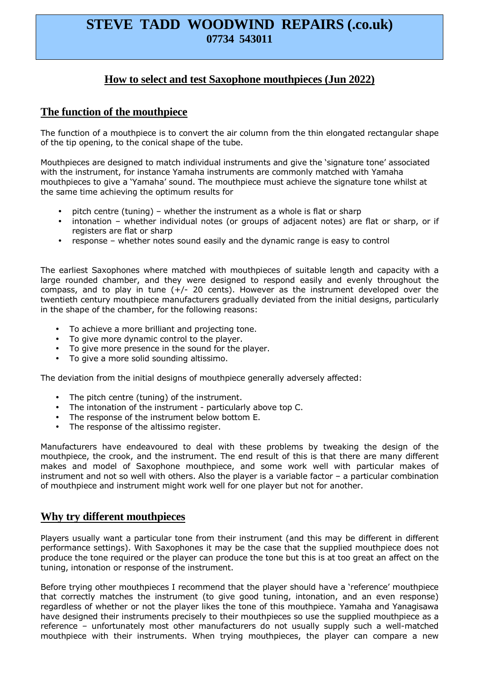# **STEVE TADD WOODWIND REPAIRS (.co.uk) 07734 543011**

# **How to select and test Saxophone mouthpieces (Jun 2022)**

## **The function of the mouthpiece**

The function of a mouthpiece is to convert the air column from the thin elongated rectangular shape of the tip opening, to the conical shape of the tube.

Mouthpieces are designed to match individual instruments and give the 'signature tone' associated with the instrument, for instance Yamaha instruments are commonly matched with Yamaha mouthpieces to give a 'Yamaha' sound. The mouthpiece must achieve the signature tone whilst at the same time achieving the optimum results for

- pitch centre (tuning) whether the instrument as a whole is flat or sharp
- intonation whether individual notes (or groups of adjacent notes) are flat or sharp, or if registers are flat or sharp
- response whether notes sound easily and the dynamic range is easy to control

The earliest Saxophones where matched with mouthpieces of suitable length and capacity with a large rounded chamber, and they were designed to respond easily and evenly throughout the compass, and to play in tune  $(+/- 20 \text{ cents})$ . However as the instrument developed over the twentieth century mouthpiece manufacturers gradually deviated from the initial designs, particularly in the shape of the chamber, for the following reasons:

- To achieve a more brilliant and projecting tone.
- To give more dynamic control to the player.
- To give more presence in the sound for the player.
- To give a more solid sounding altissimo.

The deviation from the initial designs of mouthpiece generally adversely affected:

- The pitch centre (tuning) of the instrument.
- The intonation of the instrument particularly above top C.
- The response of the instrument below bottom E.
- The response of the altissimo register.

Manufacturers have endeavoured to deal with these problems by tweaking the design of the mouthpiece, the crook, and the instrument. The end result of this is that there are many different makes and model of Saxophone mouthpiece, and some work well with particular makes of instrument and not so well with others. Also the player is a variable factor – a particular combination of mouthpiece and instrument might work well for one player but not for another.

#### **Why try different mouthpieces**

Players usually want a particular tone from their instrument (and this may be different in different performance settings). With Saxophones it may be the case that the supplied mouthpiece does not produce the tone required or the player can produce the tone but this is at too great an affect on the tuning, intonation or response of the instrument.

Before trying other mouthpieces I recommend that the player should have a 'reference' mouthpiece that correctly matches the instrument (to give good tuning, intonation, and an even response) regardless of whether or not the player likes the tone of this mouthpiece. Yamaha and Yanagisawa have designed their instruments precisely to their mouthpieces so use the supplied mouthpiece as a reference – unfortunately most other manufacturers do not usually supply such a well-matched mouthpiece with their instruments. When trying mouthpieces, the player can compare a new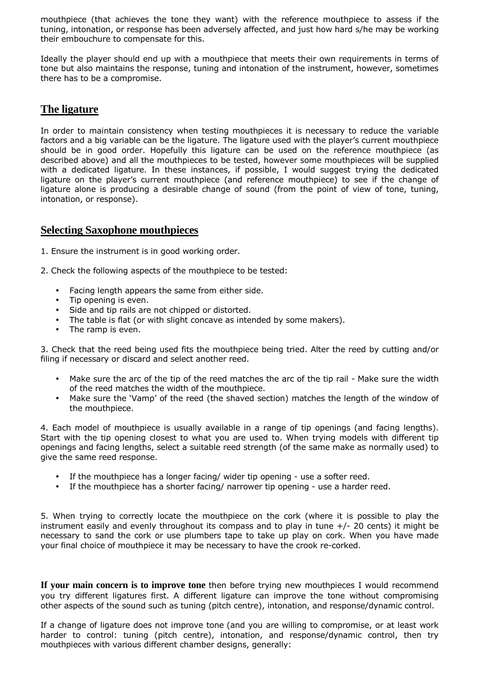mouthpiece (that achieves the tone they want) with the reference mouthpiece to assess if the tuning, intonation, or response has been adversely affected, and just how hard s/he may be working their embouchure to compensate for this.

Ideally the player should end up with a mouthpiece that meets their own requirements in terms of tone but also maintains the response, tuning and intonation of the instrument, however, sometimes there has to be a compromise.

# **The ligature**

In order to maintain consistency when testing mouthpieces it is necessary to reduce the variable factors and a big variable can be the ligature. The ligature used with the player's current mouthpiece should be in good order. Hopefully this ligature can be used on the reference mouthpiece (as described above) and all the mouthpieces to be tested, however some mouthpieces will be supplied with a dedicated ligature. In these instances, if possible, I would suggest trying the dedicated ligature on the player's current mouthpiece (and reference mouthpiece) to see if the change of ligature alone is producing a desirable change of sound (from the point of view of tone, tuning, intonation, or response).

### **Selecting Saxophone mouthpieces**

- 1. Ensure the instrument is in good working order.
- 2. Check the following aspects of the mouthpiece to be tested:
	- Facing length appears the same from either side.
	- Tip opening is even.
	- Side and tip rails are not chipped or distorted.
	- The table is flat (or with slight concave as intended by some makers).
	- The ramp is even.

3. Check that the reed being used fits the mouthpiece being tried. Alter the reed by cutting and/or filing if necessary or discard and select another reed.

- Make sure the arc of the tip of the reed matches the arc of the tip rail Make sure the width of the reed matches the width of the mouthpiece.
- Make sure the 'Vamp' of the reed (the shaved section) matches the length of the window of the mouthpiece.

4. Each model of mouthpiece is usually available in a range of tip openings (and facing lengths). Start with the tip opening closest to what you are used to. When trying models with different tip openings and facing lengths, select a suitable reed strength (of the same make as normally used) to give the same reed response.

- If the mouthpiece has a longer facing/ wider tip opening use a softer reed.
- If the mouthpiece has a shorter facing/ narrower tip opening use a harder reed.

5. When trying to correctly locate the mouthpiece on the cork (where it is possible to play the instrument easily and evenly throughout its compass and to play in tune  $+/- 20$  cents) it might be necessary to sand the cork or use plumbers tape to take up play on cork. When you have made your final choice of mouthpiece it may be necessary to have the crook re-corked.

**If your main concern is to improve tone** then before trying new mouthpieces I would recommend you try different ligatures first. A different ligature can improve the tone without compromising other aspects of the sound such as tuning (pitch centre), intonation, and response/dynamic control.

If a change of ligature does not improve tone (and you are willing to compromise, or at least work harder to control: tuning (pitch centre), intonation, and response/dynamic control, then try mouthpieces with various different chamber designs, generally: